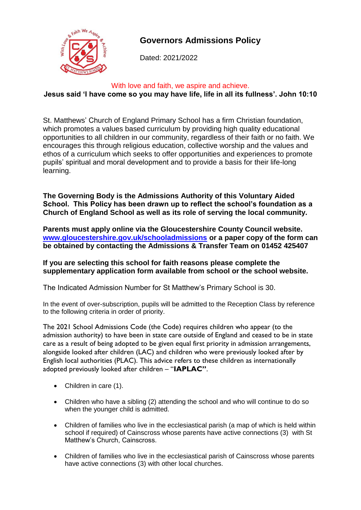

# **Governors Admissions Policy**

Dated: 2021/2022

# With love and faith, we aspire and achieve. **Jesus said 'I have come so you may have life, life in all its fullness'. John 10:10**

St. Matthews' Church of England Primary School has a firm Christian foundation, which promotes a values based curriculum by providing high quality educational opportunities to all children in our community, regardless of their faith or no faith. We encourages this through religious education, collective worship and the values and ethos of a curriculum which seeks to offer opportunities and experiences to promote pupils' spiritual and moral development and to provide a basis for their life-long learning.

**The Governing Body is the Admissions Authority of this Voluntary Aided School. This Policy has been drawn up to reflect the school's foundation as a Church of England School as well as its role of serving the local community.**

**Parents must apply online via the Gloucestershire County Council website. [www.gloucestershire.gov.uk/schooladmissions](http://www.gloucestershire.gov.uk/schooladmissions) or a paper copy of the form can be obtained by contacting the Admissions & Transfer Team on 01452 425407**

# **If you are selecting this school for faith reasons please complete the supplementary application form available from school or the school website.**

The Indicated Admission Number for St Matthew's Primary School is 30.

In the event of over-subscription, pupils will be admitted to the Reception Class by reference to the following criteria in order of priority.

The 2021 School Admissions Code (the Code) requires children who appear (to the admission authority) to have been in state care outside of England and ceased to be in state care as a result of being adopted to be given equal first priority in admission arrangements, alongside looked after children (LAC) and children who were previously looked after by English local authorities (PLAC). This advice refers to these children as internationally adopted previously looked after children – "**IAPLAC"**.

- Children in care (1).
- Children who have a sibling (2) attending the school and who will continue to do so when the younger child is admitted.
- Children of families who live in the ecclesiastical parish (a map of which is held within school if required) of Cainscross whose parents have active connections (3) with St Matthew's Church, Cainscross.
- Children of families who live in the ecclesiastical parish of Cainscross whose parents have active connections (3) with other local churches.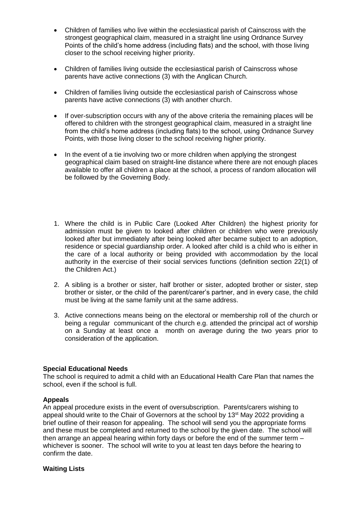- Children of families who live within the ecclesiastical parish of Cainscross with the strongest geographical claim, measured in a straight line using Ordnance Survey Points of the child's home address (including flats) and the school, with those living closer to the school receiving higher priority.
- Children of families living outside the ecclesiastical parish of Cainscross whose parents have active connections (3) with the Anglican Church.
- Children of families living outside the ecclesiastical parish of Cainscross whose parents have active connections (3) with another church.
- If over-subscription occurs with any of the above criteria the remaining places will be offered to children with the strongest geographical claim, measured in a straight line from the child's home address (including flats) to the school, using Ordnance Survey Points, with those living closer to the school receiving higher priority.
- In the event of a tie involving two or more children when applying the strongest geographical claim based on straight-line distance where there are not enough places available to offer all children a place at the school, a process of random allocation will be followed by the Governing Body.
- 1. Where the child is in Public Care (Looked After Children) the highest priority for admission must be given to looked after children or children who were previously looked after but immediately after being looked after became subject to an adoption, residence or special guardianship order. A looked after child is a child who is either in the care of a local authority or being provided with accommodation by the local authority in the exercise of their social services functions (definition section 22(1) of the Children Act.)
- 2. A sibling is a brother or sister, half brother or sister, adopted brother or sister, step brother or sister, or the child of the parent/carer's partner, and in every case, the child must be living at the same family unit at the same address.
- 3. Active connections means being on the electoral or membership roll of the church or being a regular communicant of the church e.g. attended the principal act of worship on a Sunday at least once a month on average during the two years prior to consideration of the application.

#### **Special Educational Needs**

The school is required to admit a child with an Educational Health Care Plan that names the school, even if the school is full.

#### **Appeals**

An appeal procedure exists in the event of oversubscription. Parents/carers wishing to appeal should write to the Chair of Governors at the school by 13<sup>st</sup> May 2022 providing a brief outline of their reason for appealing. The school will send you the appropriate forms and these must be completed and returned to the school by the given date. The school will then arrange an appeal hearing within forty days or before the end of the summer term – whichever is sooner. The school will write to you at least ten days before the hearing to confirm the date.

#### **Waiting Lists**